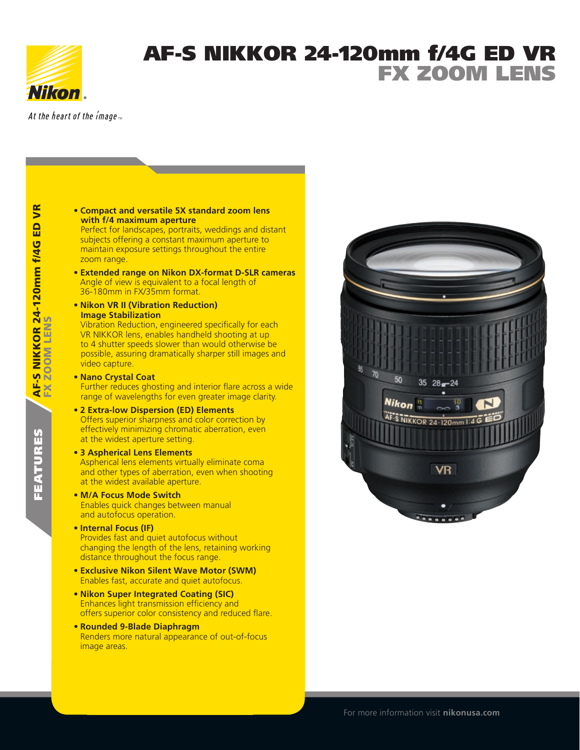

features AF-S NIKKOR 24-120mm

FEATURES

FX Zoom Lens

AF-S NIKKOR 24-120mm f/4G ED<br>FX ZOOM LENS

f/4G ED VR

**S** 

## AF-S NIKKOR 24-120mm f/4G ED VR FX Zoom Lens

At the heart of the image  $\overline{m}$ 

**• Compact and versatile 5X standard zoom lens with f/4 maximum aperture**

Perfect for landscapes, portraits, weddings and distant subjects offering a constant maximum aperture to maintain exposure settings throughout the entire zoom range.

- **• Extended range on Nikon DX-format D-SLR cameras** Angle of view is equivalent to a focal length of 36-180mm in FX/35mm format.
- **• Nikon VR II (Vibration Reduction) Image Stabilization**

Vibration Reduction, engineered specifically for each VR NIKKOR lens, enables handheld shooting at up to 4 shutter speeds slower than would otherwise be possible, assuring dramatically sharper still images and video capture.

- **• Nano Crystal Coat** Further reduces ghosting and interior flare across a wide range of wavelengths for even greater image clarity.
- **• 2 Extra-low Dispersion (ED) Elements** Offers superior sharpness and color correction by effectively minimizing chromatic aberration, even at the widest aperture setting.
- **• 3 Aspherical Lens Elements** Aspherical lens elements virtually eliminate coma and other types of aberration, even when shooting at the widest available aperture.
- **• M/A Focus Mode Switch** Enables quick changes between manual and autofocus operation.
- **• Internal Focus (IF)** Provides fast and quiet autofocus without changing the length of the lens, retaining working distance throughout the focus range.
- **• Exclusive Nikon Silent Wave Motor (SWM)** Enables fast, accurate and quiet autofocus.
- **• Nikon Super Integrated Coating (SIC)** Enhances light transmission efficiency and offers superior color consistency and reduced flare.
- **• Rounded 9-Blade Diaphragm** Renders more natural appearance of out-of-focus image areas.



For more information visit **nikonusa.com**